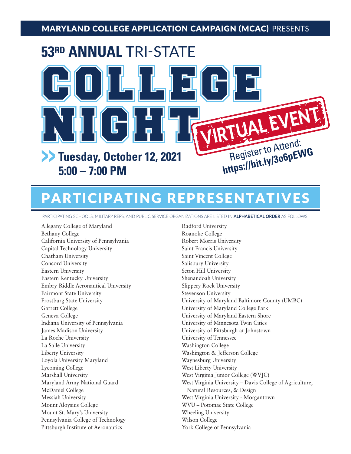## MARYLAND COLLEGE APPLICATION CAMPAIGN (MCAC) PRESENTS



# PARTICIPATING REPRESENTATIVES

PARTICIPATING SCHOOLS, MILITARY REPS, AND PUBLIC SERVICE ORGANIZATIONS ARE LISTED IN **ALPHABETICAL ORDER** AS FOLLOWS:

Allegany College of Maryland Radford University Bethany College Roanoke College California University of Pennsylvania Robert Morris University Capital Technology University Saint Francis University Chatham University Saint Vincent College Concord University Salisbury University Eastern University Seton Hill University Eastern Kentucky University Shenandoah University Embry-Riddle Aeronautical University Slippery Rock University Fairmont State University Stevenson University Garrett College **University of Maryland College Park** Geneva College **University of Maryland Eastern Shore** University of Maryland Eastern Shore Indiana University of Pennsylvania University of Minnesota Twin Cities James Madison University University of Pittsburgh at Johnstown La Roche University University of Tennessee La Salle University **Washington College** Liberty University Washington & Jefferson College Loyola University Maryland Waynesburg University Lycoming College West Liberty University Marshall University West Virginia Junior College (WVJC) Messiah University West Virginia University - Morgantown Mount Aloysius College WVU – Potomac State College Mount St. Mary's University Wheeling University Pennsylvania College of Technology Wilson College Pittsburgh Institute of Aeronautics York College of Pennsylvania

Maryland Army National Guard West Virginia University – Davis College of Agriculture,<br>McDaniel College Natural Resources, & Design Frostburg State University University of Maryland Baltimore County (UMBC)